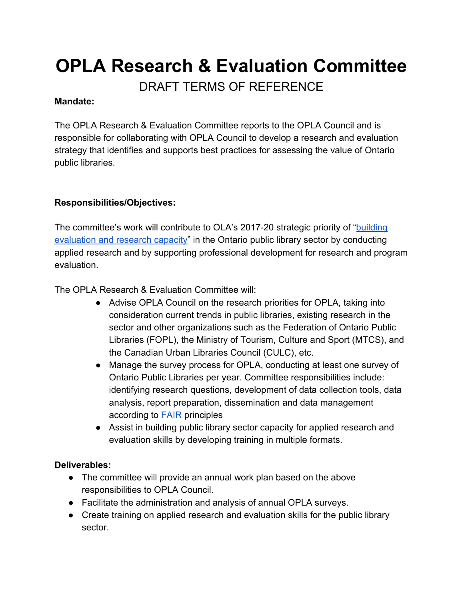# **OPLA Research & Evaluation Committee**

DRAFT TERMS OF REFERENCE

#### **Mandate:**

The OPLA Research & Evaluation Committee reports to the OPLA Council and is responsible for collaborating with OPLA Council to develop a research and evaluation strategy that identifies and supports best practices for assessing the value of Ontario public libraries.

# **Responsibilities/Objectives:**

The committee's work will contribute to OLA's 2017-20 strategic priority of "[building](http://www.accessola.org/web/Documents/OLA/About/strat_plan/OLAStrategicPlan2017-2020.pdf) [evaluation and research capacity"](http://www.accessola.org/web/Documents/OLA/About/strat_plan/OLAStrategicPlan2017-2020.pdf) in the Ontario public library sector by conducting applied research and by supporting professional development for research and program evaluation.

The OPLA Research & Evaluation Committee will:

- Advise OPLA Council on the research priorities for OPLA, taking into consideration current trends in public libraries, existing research in the sector and other organizations such as the Federation of Ontario Public Libraries (FOPL), the Ministry of Tourism, Culture and Sport (MTCS), and the Canadian Urban Libraries Council (CULC), etc.
- Manage the survey process for OPLA, conducting at least one survey of Ontario Public Libraries per year. Committee responsibilities include: identifying research questions, development of data collection tools, data analysis, report preparation, dissemination and data management according to **[FAIR](https://www.go-fair.org/fair-principles/)** principles
- Assist in building public library sector capacity for applied research and evaluation skills by developing training in multiple formats.

# **Deliverables:**

- The committee will provide an annual work plan based on the above responsibilities to OPLA Council.
- Facilitate the administration and analysis of annual OPLA surveys.
- Create training on applied research and evaluation skills for the public library sector.